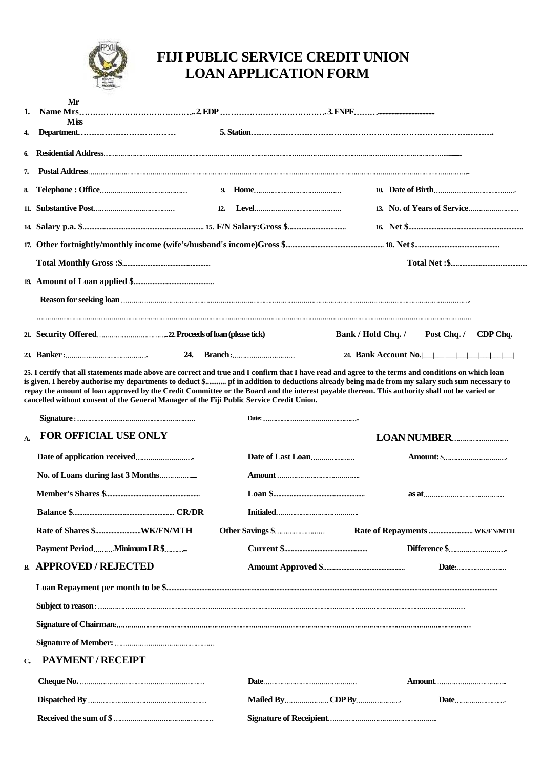

## **FIJI PUBLIC SERVICE CREDIT UNION LOAN APPLICATION FORM**

| Mr                                 |                    |                      |
|------------------------------------|--------------------|----------------------|
| 1.<br><b>Miss</b>                  |                    |                      |
| 4.                                 |                    |                      |
| 6.                                 |                    |                      |
| 7.                                 |                    |                      |
|                                    |                    |                      |
|                                    |                    |                      |
|                                    |                    |                      |
|                                    |                    |                      |
|                                    |                    |                      |
|                                    |                    |                      |
|                                    |                    |                      |
|                                    |                    |                      |
|                                    | Bank / Hold Chq. / | Post Chq. / CDP Chq. |
| 24.                                |                    | 24. Bank Account No. |
|                                    |                    |                      |
| <b>FOR OFFICIAL USE ONLY</b><br>A. |                    |                      |
|                                    |                    |                      |
|                                    |                    |                      |
|                                    |                    |                      |
|                                    |                    |                      |
|                                    |                    |                      |
|                                    |                    |                      |
| <b>B. APPROVED / REJECTED</b>      |                    | Date:                |
|                                    |                    |                      |
|                                    |                    |                      |
|                                    |                    |                      |
|                                    |                    |                      |
| PAYMENT / RECEIPT<br>$\mathbf{C}$  |                    |                      |
|                                    |                    |                      |
|                                    | Mailed ByCDP By    | Date                 |
|                                    |                    |                      |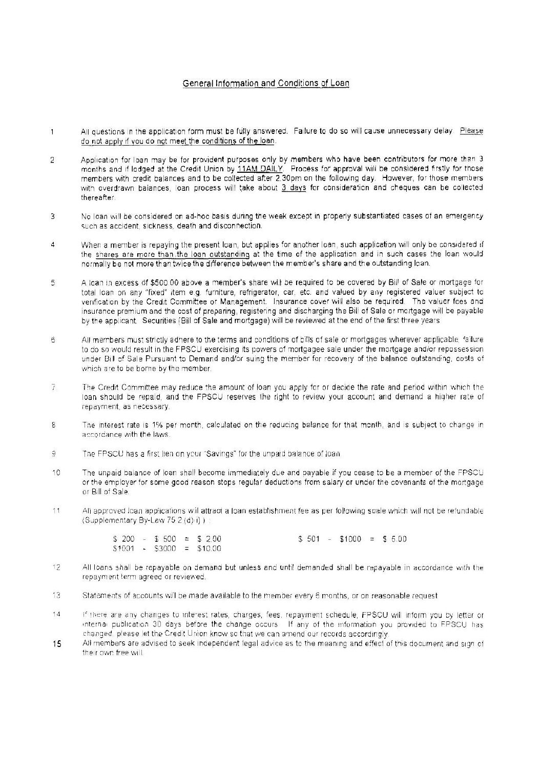## General Information and Conditions of Loan

- All questions in the application form must be fully answered. Failure to do so will cause unnecessary delay. Please  $\mathbf{1}$ do not apply if you do not meet the conditions of the loan.
- Application for loan may be for provident purposes only by members who have been contributors for more than 3  $\overline{2}$ months and if lodged at the Credit Union by 11AM DAILY. Process for approval will be considered firstly for those members with credit balances and to be collected after 2.30pm on the following day. However, for those members with overdrawn balances, loan process will take about 3 days for consideration and cheques can be collected thereafter.
- No loan will be considered on ad-hoc basis during the week except in properly substantiated cases of an emergency 3 such as accident, sickness, death and disconnection.
- When a member is repaying the present loan, but applies for another loan, such application will only be considered if  $\Delta$ the shares are more than the loan outstanding at the time of the application and in such cases the loan would normally be not more than twice the difference between the member's share and the outstanding loan.
- A loan in excess of \$500.00 above a member's share will be required to be covered by Bill of Sale or mortgage for 5 total loan on any "fixed" item e.g. furniture, refrigerator, car, etc. and valued by any registered valuer subject to verification by the Credit Committee or Management. Insurance cover will also be required. The valuer fees and insurance premium and the cost of preparing, registering and discharging the Bill of Sale or mortgage will be payable by the applicant. Securities (Bill of Sale and mortgage) will be reviewed at the end of the first three years
- 6 All members must strictly adhere to the terms and conditions of bills of sale or mortgages wherever applicable, failure to do so would result in the FPSCU exercising its powers of mortgagee sale under the mortgage and/or repossession under Bill of Sale Pursuant to Demand and/or suing the member for recovery of the balance outstanding, costs of which are to be borne by the member.
- 7. The Credit Committee may reduce the amount of loan you apply for or decide the rate and period within which the loan should be repaid, and the FPSCU reserves the right to review your account and demand a higher rate of repayment, as necessary.
- $\overline{8}$ The interest rate is 1% per month, calculated on the reducing balance for that month, and is subject to change in accordance with the laws.
- $\mathfrak{I}$ The FPSCU has a first lien on your 'Savings' for the unpaid balance of loan.
- $10$ The unpaid balance of loan shall become immediately due and payable if you cease to be a member of the FPSCU or the employer for some good reason stops regular deductions from salary or under the covenants of the mortgage or Bill of Sale.
- All approved loan applications will attract a loan establishment fee as per following scale which will not be refundable  $11$ (Supplementary By-Law 75.2(d)ii)):

|  |  | $$200 - $500 = $200$       |  | $$501 - $1000 = $5.00$ |  |  |
|--|--|----------------------------|--|------------------------|--|--|
|  |  | $$1001$ - \$3000 = \$10.00 |  |                        |  |  |

- 12 All loans shall be repayable on demand but unless and until demanded shall be repayable in accordance with the repayment term agreed or reviewed.
- Statements of accounts will be made available to the member every 6 months, or on reasonable request 13
- $14$ if there are any changes to interest rates, charges, fees, repayment schedule, FPSCU will inform you by letter or internal publication 30 days before the change occurs. If any of the information you provided to FPSCU has changed, please let the Credit Union know so that we can amend our records accordingly.
- 15 All members are advised to seek independent legal advice as to the meaning and effect of this document and sign of their own free will.